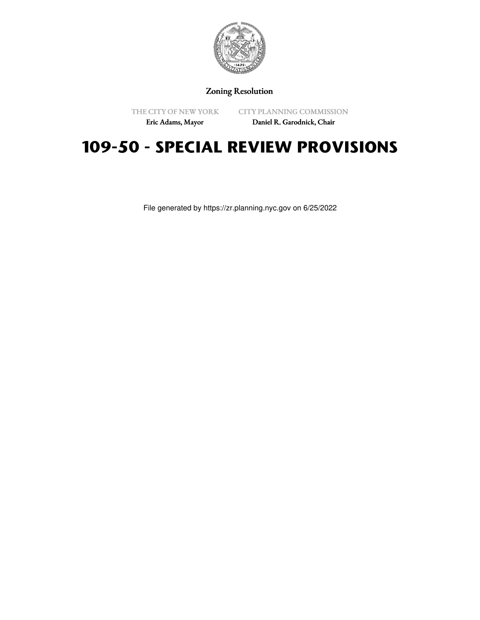

Zoning Resolution

THE CITY OF NEW YORK

CITY PLANNING COMMISSION

Eric Adams, Mayor

Daniel R. Garodnick, Chair

# **109-50 - SPECIAL REVIEW PROVISIONS**

File generated by https://zr.planning.nyc.gov on 6/25/2022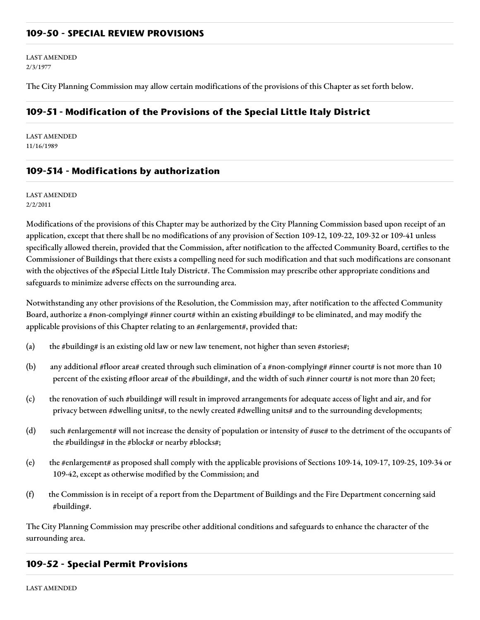## **109-50 - SPECIAL REVIEW PROVISIONS**

LAST AMENDED 2/3/1977

The City Planning Commission may allow certain modifications of the provisions of this Chapter as set forth below.

## **109-51 - Modification of the Provisions of the Special Little Italy District**

LAST AMENDED 11/16/1989

## **109-514 - Modifications by authorization**

LAST AMENDED 2/2/2011

Modifications of the provisions of this Chapter may be authorized by the City Planning Commission based upon receipt of an application, except that there shall be no modifications of any provision of Section 109-12, 109-22, 109-32 or 109-41 unless specifically allowed therein, provided that the Commission, after notification to the affected Community Board, certifies to the Commissioner of Buildings that there exists a compelling need for such modification and that such modifications are consonant with the objectives of the #Special Little Italy District#. The Commission may prescribe other appropriate conditions and safeguards to minimize adverse effects on the surrounding area.

Notwithstanding any other provisions of the Resolution, the Commission may, after notification to the affected Community Board, authorize a #non-complying# #inner court# within an existing #building# to be eliminated, and may modify the applicable provisions of this Chapter relating to an #enlargement#, provided that:

- (a) the #building# is an existing old law or new law tenement, not higher than seven #stories#;
- (b) any additional #floor area# created through such elimination of a #non-complying# #inner court# is not more than 10 percent of the existing #floor area# of the #building#, and the width of such #inner court# is not more than 20 feet;
- (c) the renovation of such #building# will result in improved arrangements for adequate access of light and air, and for privacy between #dwelling units#, to the newly created #dwelling units# and to the surrounding developments;
- (d) such #enlargement# will not increase the density of population or intensity of #use# to the detriment of the occupants of the #buildings# in the #block# or nearby #blocks#;
- (e) the #enlargement# as proposed shall comply with the applicable provisions of Sections 109-14, 109-17, 109-25, 109-34 or 109-42, except as otherwise modified by the Commission; and
- (f) the Commission is in receipt of a report from the Department of Buildings and the Fire Department concerning said #building#.

The City Planning Commission may prescribe other additional conditions and safeguards to enhance the character of the surrounding area.

#### **109-52 - Special Permit Provisions**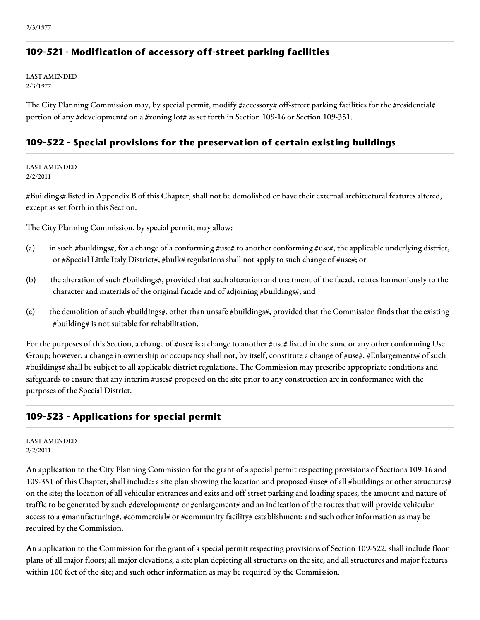# **109-521 - Modification of accessory off-street parking facilities**

LAST AMENDED 2/3/1977

The City Planning Commission may, by special permit, modify #accessory# off-street parking facilities for the #residential# portion of any #development# on a #zoning lot# as set forth in Section 109-16 or Section 109-351.

## **109-522 - Special provisions for the preservation of certain existing buildings**

LAST AMENDED 2/2/2011

#Buildings# listed in Appendix B of this Chapter, shall not be demolished or have their external architectural features altered, except as set forth in this Section.

The City Planning Commission, by special permit, may allow:

- (a) in such #buildings#, for a change of a conforming #use# to another conforming #use#, the applicable underlying district, or #Special Little Italy District#, #bulk# regulations shall not apply to such change of #use#; or
- (b) the alteration of such #buildings#, provided that such alteration and treatment of the facade relates harmoniously to the character and materials of the original facade and of adjoining #buildings#; and
- (c) the demolition of such #buildings#, other than unsafe #buildings#, provided that the Commission finds that the existing #building# is not suitable for rehabilitation.

For the purposes of this Section, a change of #use# is a change to another #use# listed in the same or any other conforming Use Group; however, a change in ownership or occupancy shall not, by itself, constitute a change of #use#. #Enlargements# of such #buildings# shall be subject to all applicable district regulations. The Commission may prescribe appropriate conditions and safeguards to ensure that any interim #uses# proposed on the site prior to any construction are in conformance with the purposes of the Special District.

# **109-523 - Applications for special permit**

LAST AMENDED 2/2/2011

An application to the City Planning Commission for the grant of a special permit respecting provisions of Sections 109-16 and 109-351 of this Chapter, shall include: a site plan showing the location and proposed #use# of all #buildings or other structures# on the site; the location of all vehicular entrances and exits and off-street parking and loading spaces; the amount and nature of traffic to be generated by such #development# or #enlargement# and an indication of the routes that will provide vehicular access to a #manufacturing#, #commercial# or #community facility# establishment; and such other information as may be required by the Commission.

An application to the Commission for the grant of a special permit respecting provisions of Section 109-522, shall include floor plans of all major floors; all major elevations; a site plan depicting all structures on the site, and all structures and major features within 100 feet of the site; and such other information as may be required by the Commission.